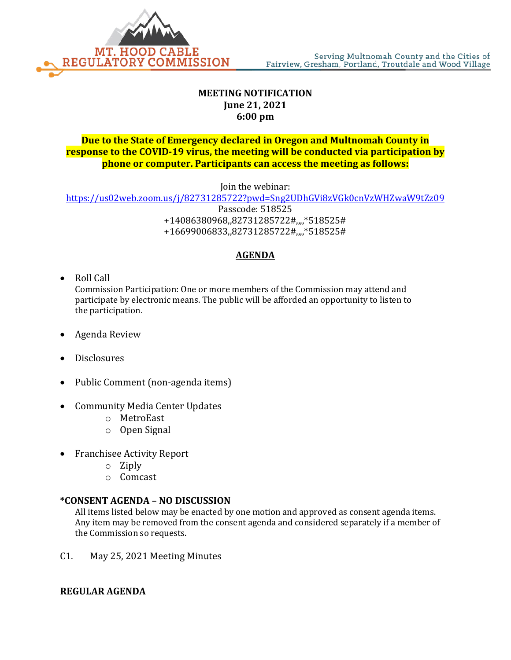

## **MEETING NOTIFICATION June 21, 2021 6:00 pm**

## **Due to the State of Emergency declared in Oregon and Multnomah County in response to the COVID-19 virus, the meeting will be conducted via participation by phone or computer. Participants can access the meeting as follows:**

Join the webinar:

<https://us02web.zoom.us/j/82731285722?pwd=Sng2UDhGVi8zVGk0cnVzWHZwaW9tZz09> Passcode: 518525 +14086380968,,82731285722#,,,,\*518525# +16699006833,,82731285722#,,,,\*518525#

# **AGENDA**

• Roll Call

Commission Participation: One or more members of the Commission may attend and participate by electronic means. The public will be afforded an opportunity to listen to the participation.

- Agenda Review
- Disclosures
- Public Comment (non-agenda items)
- Community Media Center Updates
	- o MetroEast
	- o Open Signal
- Franchisee Activity Report
	- o Ziply
	- o Comcast

## **\*CONSENT AGENDA – NO DISCUSSION**

All items listed below may be enacted by one motion and approved as consent agenda items. Any item may be removed from the consent agenda and considered separately if a member of the Commission so requests.

C1. May 25, 2021 Meeting Minutes

## **REGULAR AGENDA**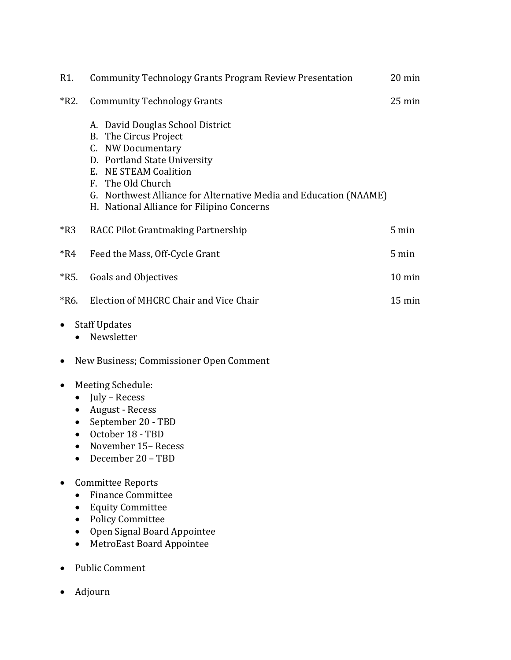| R1.                                                           | <b>Community Technology Grants Program Review Presentation</b>                                                                                                                                                                                                                  | $20 \text{ min}$ |
|---------------------------------------------------------------|---------------------------------------------------------------------------------------------------------------------------------------------------------------------------------------------------------------------------------------------------------------------------------|------------------|
| $*R2.$                                                        | <b>Community Technology Grants</b>                                                                                                                                                                                                                                              | $25 \text{ min}$ |
|                                                               | A. David Douglas School District<br>B. The Circus Project<br>C. NW Documentary<br>D. Portland State University<br>E. NE STEAM Coalition<br>F. The Old Church<br>G. Northwest Alliance for Alternative Media and Education (NAAME)<br>H. National Alliance for Filipino Concerns |                  |
| $*R3$                                                         | RACC Pilot Grantmaking Partnership                                                                                                                                                                                                                                              | 5 min            |
| $*R4$                                                         | Feed the Mass, Off-Cycle Grant                                                                                                                                                                                                                                                  | 5 min            |
| $*R5.$                                                        | <b>Goals and Objectives</b>                                                                                                                                                                                                                                                     | $10 \text{ min}$ |
| $*R6.$                                                        | Election of MHCRC Chair and Vice Chair                                                                                                                                                                                                                                          | $15 \text{ min}$ |
| $\bullet$<br>$\bullet$                                        | <b>Staff Updates</b><br>Newsletter                                                                                                                                                                                                                                              |                  |
| New Business; Commissioner Open Comment<br>$\bullet$          |                                                                                                                                                                                                                                                                                 |                  |
| $\bullet$<br>$\bullet$<br>$\bullet$<br>$\bullet$<br>$\bullet$ | Meeting Schedule:<br>July - Recess<br>August - Recess<br>September 20 - TBD<br>October 18 - TBD<br>November 15-Recess<br>December 20 - TBD                                                                                                                                      |                  |
| ٠                                                             | Committee Reports<br><b>Finance Committee</b><br><b>Equity Committee</b><br><b>Policy Committee</b><br>Open Signal Board Appointee<br><b>MetroEast Board Appointee</b><br><b>Public Comment</b>                                                                                 |                  |
|                                                               |                                                                                                                                                                                                                                                                                 |                  |

• Adjourn